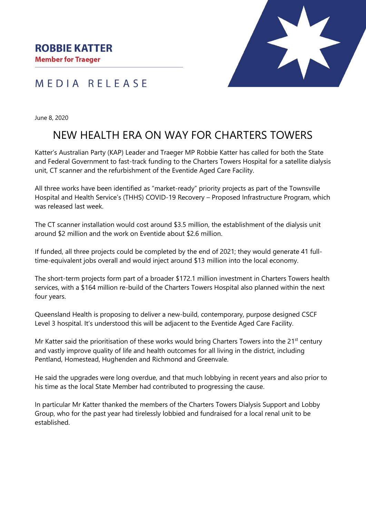

MEDIA RELEASE

June 8, 2020

## NEW HEALTH ERA ON WAY FOR CHARTERS TOWERS

Katter's Australian Party (KAP) Leader and Traeger MP Robbie Katter has called for both the State and Federal Government to fast-track funding to the Charters Towers Hospital for a satellite dialysis unit, CT scanner and the refurbishment of the Eventide Aged Care Facility.

All three works have been identified as "market-ready" priority projects as part of the Townsville Hospital and Health Service's (THHS) COVID-19 Recovery – Proposed Infrastructure Program, which was released last week

The CT scanner installation would cost around \$3.5 million, the establishment of the dialysis unit around \$2 million and the work on Eventide about \$2.6 million.

If funded, all three projects could be completed by the end of 2021; they would generate 41 fulltime-equivalent jobs overall and would inject around \$13 million into the local economy.

The short-term projects form part of a broader \$172.1 million investment in Charters Towers health services, with a \$164 million re-build of the Charters Towers Hospital also planned within the next four years.

Queensland Health is proposing to deliver a new-build, contemporary, purpose designed CSCF Level 3 hospital. It's understood this will be adjacent to the Eventide Aged Care Facility.

Mr Katter said the prioritisation of these works would bring Charters Towers into the  $21<sup>st</sup>$  century and vastly improve quality of life and health outcomes for all living in the district, including Pentland, Homestead, Hughenden and Richmond and Greenvale.

He said the upgrades were long overdue, and that much lobbying in recent years and also prior to his time as the local State Member had contributed to progressing the cause.

In particular Mr Katter thanked the members of the Charters Towers Dialysis Support and Lobby Group, who for the past year had tirelessly lobbied and fundraised for a local renal unit to be established.